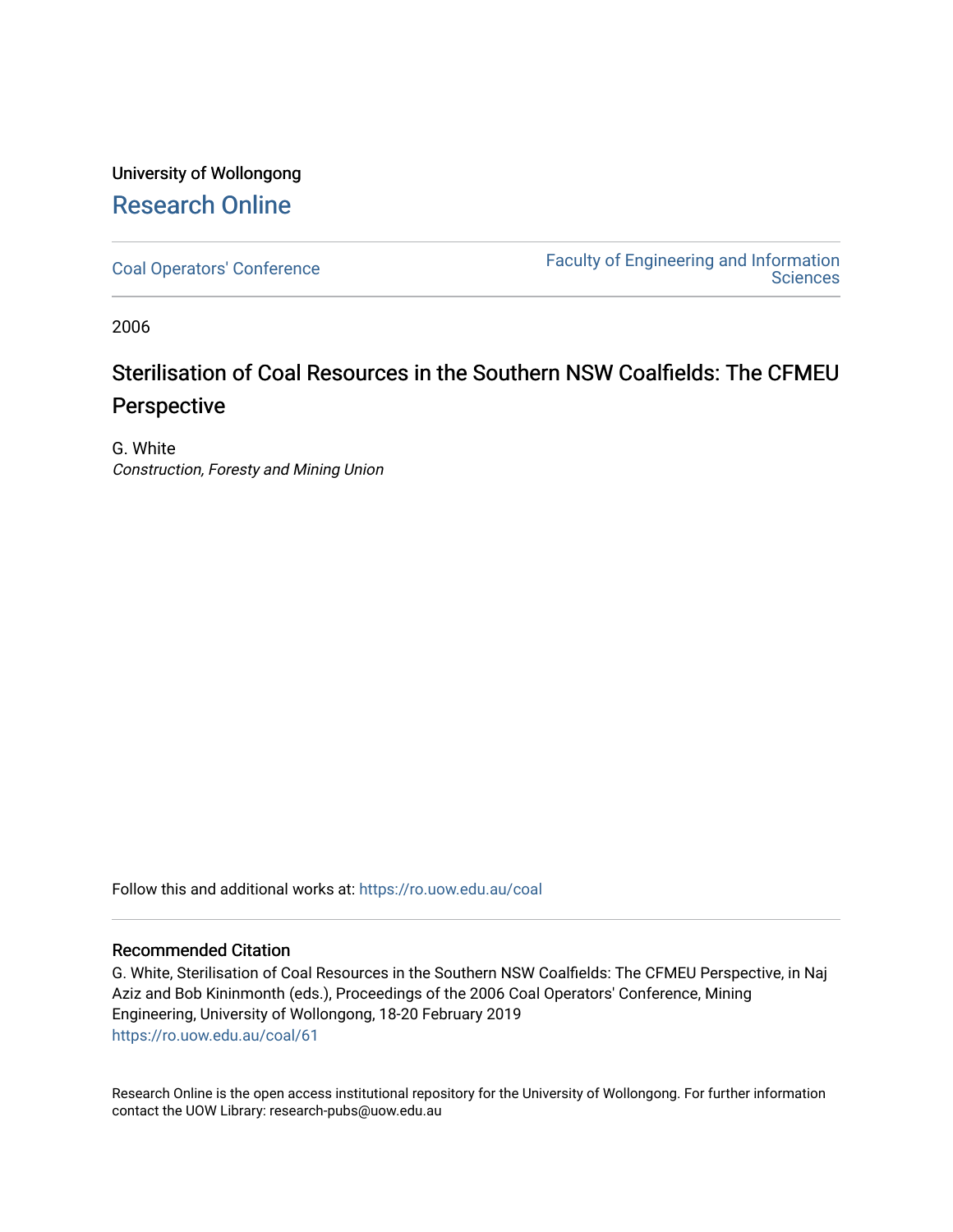### University of Wollongong [Research Online](https://ro.uow.edu.au/)

[Coal Operators' Conference](https://ro.uow.edu.au/coal) [Faculty of Engineering and Information](https://ro.uow.edu.au/eis)  **Sciences** 

2006

## Sterilisation of Coal Resources in the Southern NSW Coalfields: The CFMEU Perspective

G. White Construction, Foresty and Mining Union

Follow this and additional works at: [https://ro.uow.edu.au/coal](https://ro.uow.edu.au/coal?utm_source=ro.uow.edu.au%2Fcoal%2F61&utm_medium=PDF&utm_campaign=PDFCoverPages) 

#### Recommended Citation

G. White, Sterilisation of Coal Resources in the Southern NSW Coalfields: The CFMEU Perspective, in Naj Aziz and Bob Kininmonth (eds.), Proceedings of the 2006 Coal Operators' Conference, Mining Engineering, University of Wollongong, 18-20 February 2019 [https://ro.uow.edu.au/coal/61](https://ro.uow.edu.au/coal/61?utm_source=ro.uow.edu.au%2Fcoal%2F61&utm_medium=PDF&utm_campaign=PDFCoverPages) 

Research Online is the open access institutional repository for the University of Wollongong. For further information contact the UOW Library: research-pubs@uow.edu.au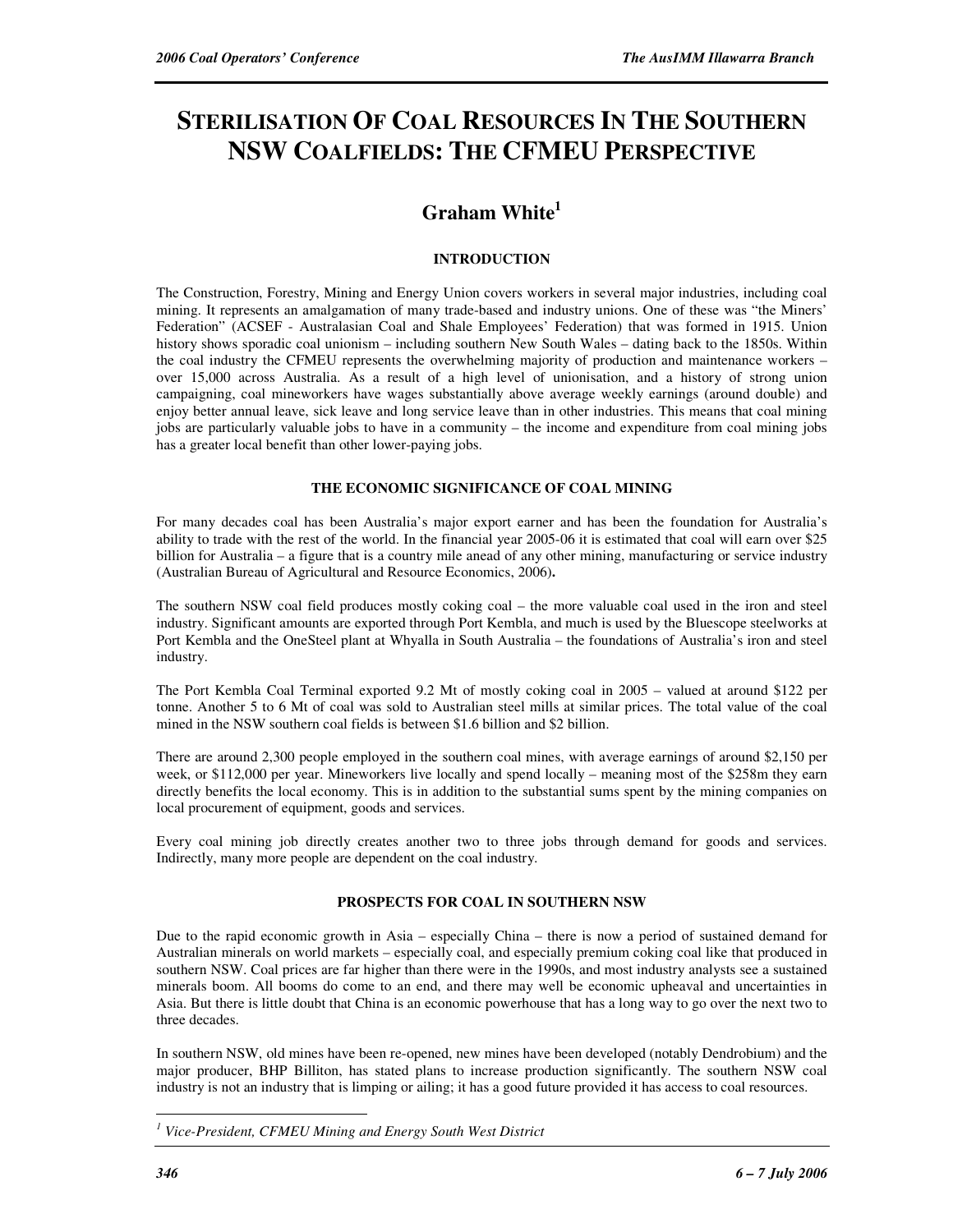# **STERILISATION OF COAL RESOURCES IN THE SOUTHERN NSW COALFIELDS: THE CFMEU PERSPECTIVE**

### **Graham White<sup>1</sup>**

#### **INTRODUCTION**

The Construction, Forestry, Mining and Energy Union covers workers in several major industries, including coal mining. It represents an amalgamation of many trade-based and industry unions. One of these was "the Miners' Federation" (ACSEF - Australasian Coal and Shale Employees' Federation) that was formed in 1915. Union history shows sporadic coal unionism – including southern New South Wales – dating back to the 1850s. Within the coal industry the CFMEU represents the overwhelming majority of production and maintenance workers – over 15,000 across Australia. As a result of a high level of unionisation, and a history of strong union campaigning, coal mineworkers have wages substantially above average weekly earnings (around double) and enjoy better annual leave, sick leave and long service leave than in other industries. This means that coal mining jobs are particularly valuable jobs to have in a community – the income and expenditure from coal mining jobs has a greater local benefit than other lower-paying jobs.

#### **THE ECONOMIC SIGNIFICANCE OF COAL MINING**

For many decades coal has been Australia's major export earner and has been the foundation for Australia's ability to trade with the rest of the world. In the financial year 2005-06 it is estimated that coal will earn over \$25 billion for Australia – a figure that is a country mile anead of any other mining, manufacturing or service industry (Australian Bureau of Agricultural and Resource Economics, 2006)**.** 

The southern NSW coal field produces mostly coking coal – the more valuable coal used in the iron and steel industry. Significant amounts are exported through Port Kembla, and much is used by the Bluescope steelworks at Port Kembla and the OneSteel plant at Whyalla in South Australia – the foundations of Australia's iron and steel industry.

The Port Kembla Coal Terminal exported 9.2 Mt of mostly coking coal in 2005 – valued at around \$122 per tonne. Another 5 to 6 Mt of coal was sold to Australian steel mills at similar prices. The total value of the coal mined in the NSW southern coal fields is between \$1.6 billion and \$2 billion.

There are around 2,300 people employed in the southern coal mines, with average earnings of around \$2,150 per week, or \$112,000 per year. Mineworkers live locally and spend locally – meaning most of the \$258m they earn directly benefits the local economy. This is in addition to the substantial sums spent by the mining companies on local procurement of equipment, goods and services.

Every coal mining job directly creates another two to three jobs through demand for goods and services. Indirectly, many more people are dependent on the coal industry.

#### **PROSPECTS FOR COAL IN SOUTHERN NSW**

Due to the rapid economic growth in Asia – especially China – there is now a period of sustained demand for Australian minerals on world markets – especially coal, and especially premium coking coal like that produced in southern NSW. Coal prices are far higher than there were in the 1990s, and most industry analysts see a sustained minerals boom. All booms do come to an end, and there may well be economic upheaval and uncertainties in Asia. But there is little doubt that China is an economic powerhouse that has a long way to go over the next two to three decades.

In southern NSW, old mines have been re-opened, new mines have been developed (notably Dendrobium) and the major producer, BHP Billiton, has stated plans to increase production significantly. The southern NSW coal industry is not an industry that is limping or ailing; it has a good future provided it has access to coal resources.

 $\overline{a}$ *1 Vice-President, CFMEU Mining and Energy South West District*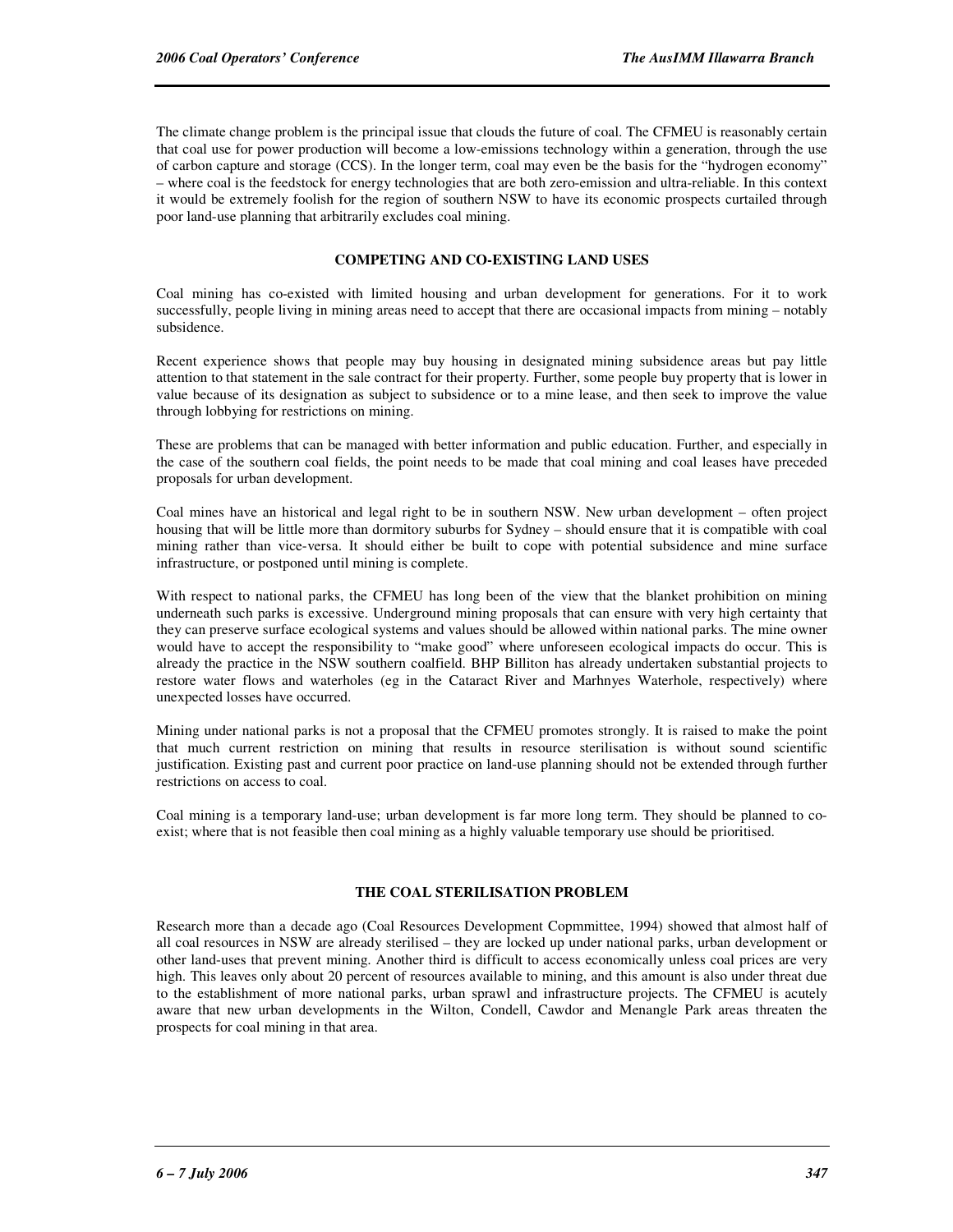The climate change problem is the principal issue that clouds the future of coal. The CFMEU is reasonably certain that coal use for power production will become a low-emissions technology within a generation, through the use of carbon capture and storage (CCS). In the longer term, coal may even be the basis for the "hydrogen economy" – where coal is the feedstock for energy technologies that are both zero-emission and ultra-reliable. In this context it would be extremely foolish for the region of southern NSW to have its economic prospects curtailed through poor land-use planning that arbitrarily excludes coal mining.

#### **COMPETING AND CO-EXISTING LAND USES**

Coal mining has co-existed with limited housing and urban development for generations. For it to work successfully, people living in mining areas need to accept that there are occasional impacts from mining – notably subsidence.

Recent experience shows that people may buy housing in designated mining subsidence areas but pay little attention to that statement in the sale contract for their property. Further, some people buy property that is lower in value because of its designation as subject to subsidence or to a mine lease, and then seek to improve the value through lobbying for restrictions on mining.

These are problems that can be managed with better information and public education. Further, and especially in the case of the southern coal fields, the point needs to be made that coal mining and coal leases have preceded proposals for urban development.

Coal mines have an historical and legal right to be in southern NSW. New urban development – often project housing that will be little more than dormitory suburbs for Sydney – should ensure that it is compatible with coal mining rather than vice-versa. It should either be built to cope with potential subsidence and mine surface infrastructure, or postponed until mining is complete.

With respect to national parks, the CFMEU has long been of the view that the blanket prohibition on mining underneath such parks is excessive. Underground mining proposals that can ensure with very high certainty that they can preserve surface ecological systems and values should be allowed within national parks. The mine owner would have to accept the responsibility to "make good" where unforeseen ecological impacts do occur. This is already the practice in the NSW southern coalfield. BHP Billiton has already undertaken substantial projects to restore water flows and waterholes (eg in the Cataract River and Marhnyes Waterhole, respectively) where unexpected losses have occurred.

Mining under national parks is not a proposal that the CFMEU promotes strongly. It is raised to make the point that much current restriction on mining that results in resource sterilisation is without sound scientific justification. Existing past and current poor practice on land-use planning should not be extended through further restrictions on access to coal.

Coal mining is a temporary land-use; urban development is far more long term. They should be planned to coexist; where that is not feasible then coal mining as a highly valuable temporary use should be prioritised.

#### **THE COAL STERILISATION PROBLEM**

Research more than a decade ago (Coal Resources Development Copmmittee, 1994) showed that almost half of all coal resources in NSW are already sterilised – they are locked up under national parks, urban development or other land-uses that prevent mining. Another third is difficult to access economically unless coal prices are very high. This leaves only about 20 percent of resources available to mining, and this amount is also under threat due to the establishment of more national parks, urban sprawl and infrastructure projects. The CFMEU is acutely aware that new urban developments in the Wilton, Condell, Cawdor and Menangle Park areas threaten the prospects for coal mining in that area.